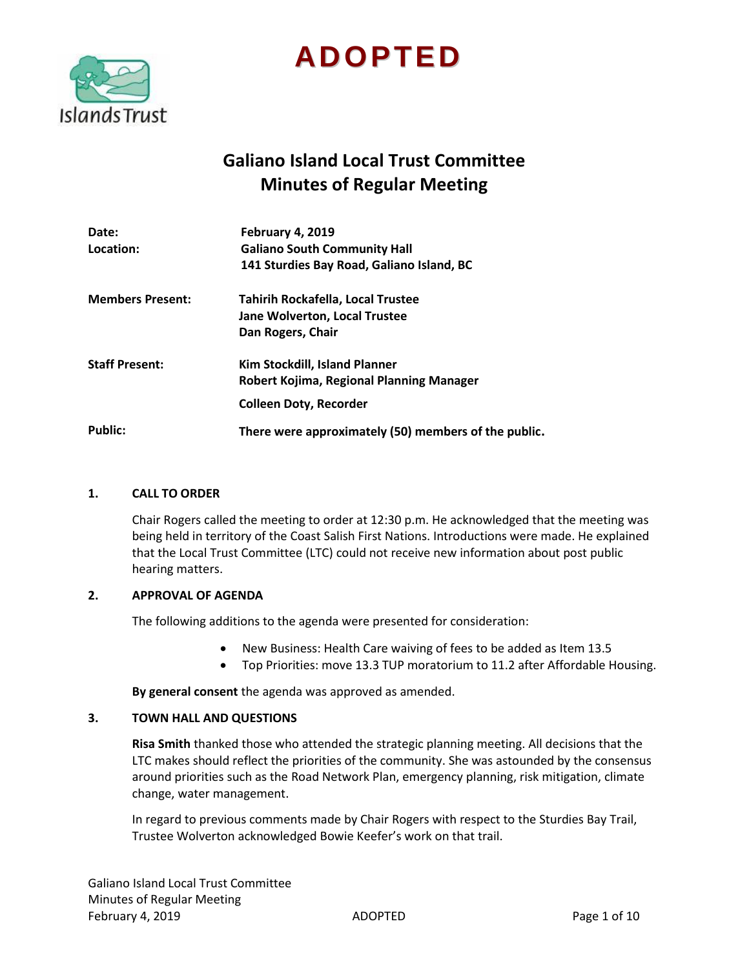

# **ADOPTED**

# **Galiano Island Local Trust Committee Minutes of Regular Meeting**

| Date:                   | February 4, 2019                                     |
|-------------------------|------------------------------------------------------|
| Location:               | <b>Galiano South Community Hall</b>                  |
|                         | 141 Sturdies Bay Road, Galiano Island, BC            |
| <b>Members Present:</b> | Tahirih Rockafella, Local Trustee                    |
|                         | <b>Jane Wolverton, Local Trustee</b>                 |
|                         | Dan Rogers, Chair                                    |
| <b>Staff Present:</b>   | Kim Stockdill, Island Planner                        |
|                         | Robert Kojima, Regional Planning Manager             |
|                         | <b>Colleen Doty, Recorder</b>                        |
| <b>Public:</b>          | There were approximately (50) members of the public. |

# **1. CALL TO ORDER**

Chair Rogers called the meeting to order at 12:30 p.m. He acknowledged that the meeting was being held in territory of the Coast Salish First Nations. Introductions were made. He explained that the Local Trust Committee (LTC) could not receive new information about post public hearing matters.

# **2. APPROVAL OF AGENDA**

The following additions to the agenda were presented for consideration:

- New Business: Health Care waiving of fees to be added as Item 13.5
- Top Priorities: move 13.3 TUP moratorium to 11.2 after Affordable Housing.

**By general consent** the agenda was approved as amended.

#### **3. TOWN HALL AND QUESTIONS**

**Risa Smith** thanked those who attended the strategic planning meeting. All decisions that the LTC makes should reflect the priorities of the community. She was astounded by the consensus around priorities such as the Road Network Plan, emergency planning, risk mitigation, climate change, water management.

In regard to previous comments made by Chair Rogers with respect to the Sturdies Bay Trail, Trustee Wolverton acknowledged Bowie Keefer's work on that trail.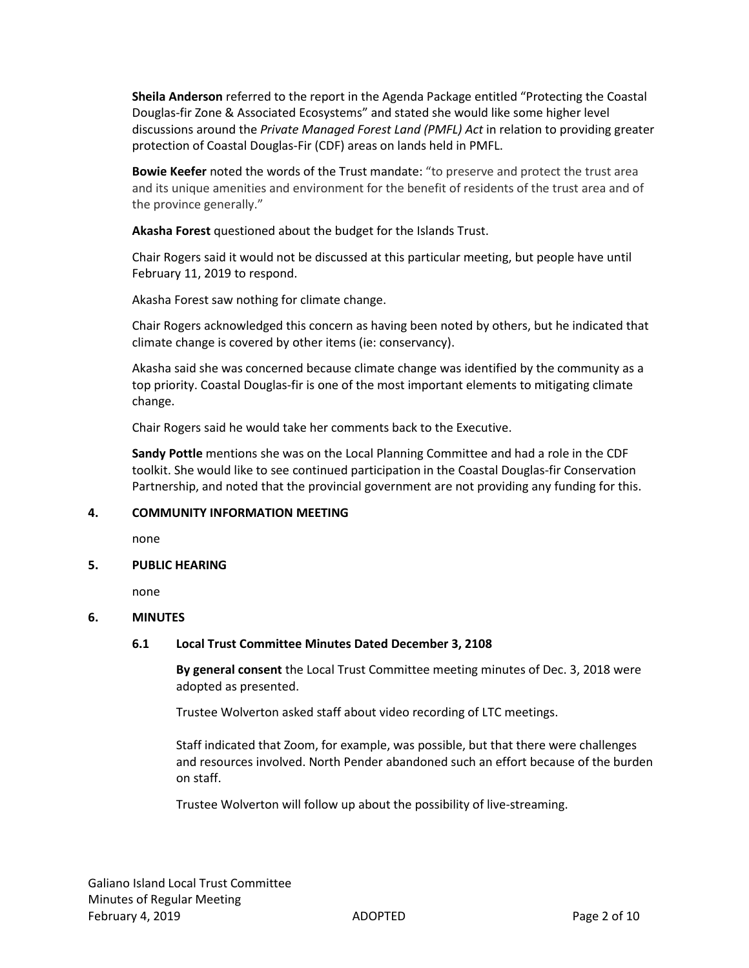**Sheila Anderson** referred to the report in the Agenda Package entitled "Protecting the Coastal Douglas-fir Zone & Associated Ecosystems" and stated she would like some higher level discussions around the *Private Managed Forest Land (PMFL) Act* in relation to providing greater protection of Coastal Douglas-Fir (CDF) areas on lands held in PMFL.

**Bowie Keefer** noted the words of the Trust mandate: "to preserve and protect the trust area and its unique amenities and environment for the benefit of residents of the trust area and of the province generally."

**Akasha Forest** questioned about the budget for the Islands Trust.

Chair Rogers said it would not be discussed at this particular meeting, but people have until February 11, 2019 to respond.

Akasha Forest saw nothing for climate change.

Chair Rogers acknowledged this concern as having been noted by others, but he indicated that climate change is covered by other items (ie: conservancy).

Akasha said she was concerned because climate change was identified by the community as a top priority. Coastal Douglas-fir is one of the most important elements to mitigating climate change.

Chair Rogers said he would take her comments back to the Executive.

**Sandy Pottle** mentions she was on the Local Planning Committee and had a role in the CDF toolkit. She would like to see continued participation in the Coastal Douglas-fir Conservation Partnership, and noted that the provincial government are not providing any funding for this.

# **4. COMMUNITY INFORMATION MEETING**

none

#### **5. PUBLIC HEARING**

none

# **6. MINUTES**

# **6.1 Local Trust Committee Minutes Dated December 3, 2108**

**By general consent** the Local Trust Committee meeting minutes of Dec. 3, 2018 were adopted as presented.

Trustee Wolverton asked staff about video recording of LTC meetings.

Staff indicated that Zoom, for example, was possible, but that there were challenges and resources involved. North Pender abandoned such an effort because of the burden on staff.

Trustee Wolverton will follow up about the possibility of live-streaming.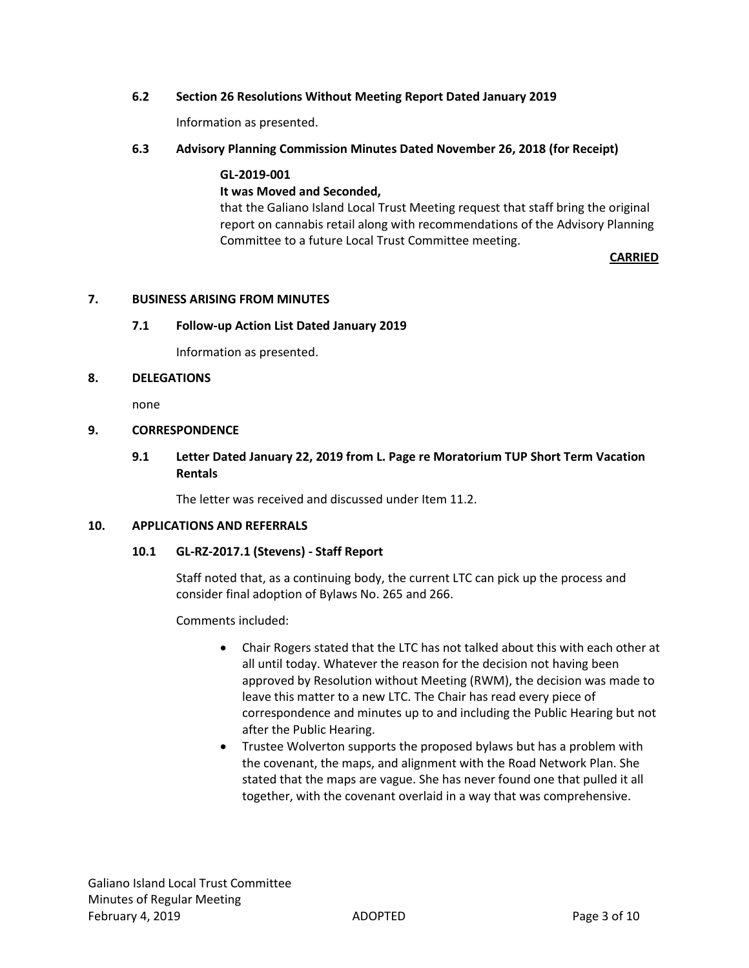# **6.2 Section 26 Resolutions Without Meeting Report Dated January 2019**

Information as presented.

# **6.3 Advisory Planning Commission Minutes Dated November 26, 2018 (for Receipt)**

# **GL-2019-001 It was Moved and Seconded,** that the Galiano Island Local Trust Meeting request that staff bring the original report on cannabis retail along with recommendations of the Advisory Planning Committee to a future Local Trust Committee meeting.

*CARRIED* 

#### **7. BUSINESS ARISING FROM MINUTES**

#### **7.1 Follow-up Action List Dated January 2019**

Information as presented.

#### **8. DELEGATIONS**

none

# **9. CORRESPONDENCE**

# **9.1 Letter Dated January 22, 2019 from L. Page re Moratorium TUP Short Term Vacation Rentals**

The letter was received and discussed under Item 11.2.

# **10. APPLICATIONS AND REFERRALS**

# **10.1 GL-RZ-2017.1 (Stevens) - Staff Report**

Staff noted that, as a continuing body, the current LTC can pick up the process and consider final adoption of Bylaws No. 265 and 266.

Comments included:

- Chair Rogers stated that the LTC has not talked about this with each other at all until today. Whatever the reason for the decision not having been approved by Resolution without Meeting (RWM), the decision was made to leave this matter to a new LTC. The Chair has read every piece of correspondence and minutes up to and including the Public Hearing but not after the Public Hearing.
- Trustee Wolverton supports the proposed bylaws but has a problem with the covenant, the maps, and alignment with the Road Network Plan. She stated that the maps are vague. She has never found one that pulled it all together, with the covenant overlaid in a way that was comprehensive.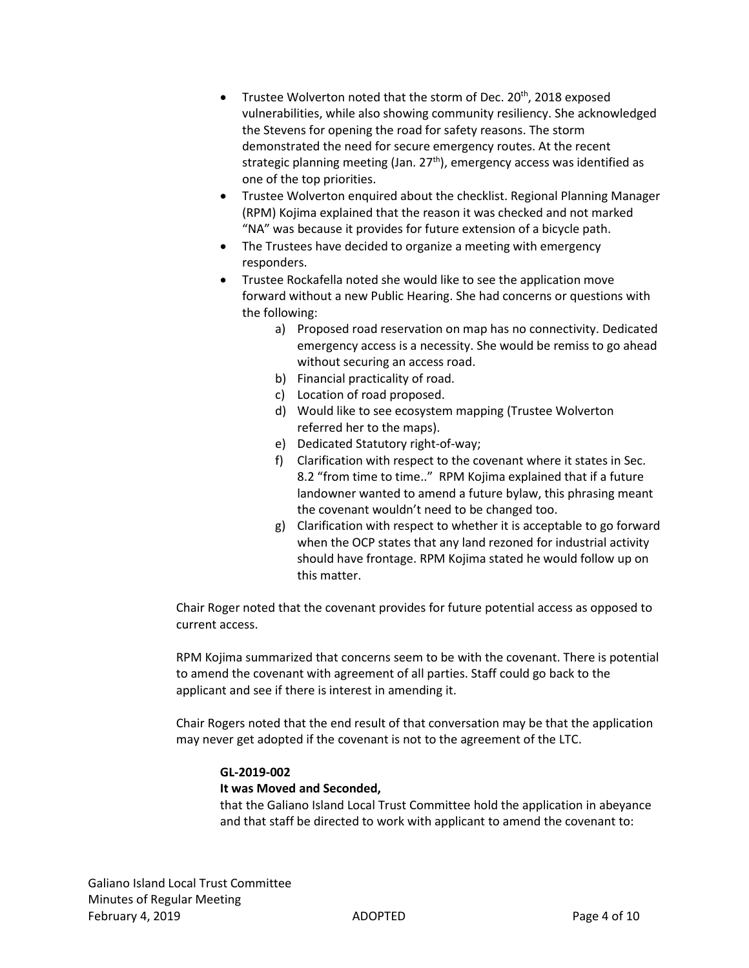- Trustee Wolverton noted that the storm of Dec. 20<sup>th</sup>, 2018 exposed vulnerabilities, while also showing community resiliency. She acknowledged the Stevens for opening the road for safety reasons. The storm demonstrated the need for secure emergency routes. At the recent strategic planning meeting (Jan. 27<sup>th</sup>), emergency access was identified as one of the top priorities.
- Trustee Wolverton enquired about the checklist. Regional Planning Manager (RPM) Kojima explained that the reason it was checked and not marked "NA" was because it provides for future extension of a bicycle path.
- The Trustees have decided to organize a meeting with emergency responders.
- Trustee Rockafella noted she would like to see the application move forward without a new Public Hearing. She had concerns or questions with the following:
	- a) Proposed road reservation on map has no connectivity. Dedicated emergency access is a necessity. She would be remiss to go ahead without securing an access road.
	- b) Financial practicality of road.
	- c) Location of road proposed.
	- d) Would like to see ecosystem mapping (Trustee Wolverton referred her to the maps).
	- e) Dedicated Statutory right-of-way;
	- f) Clarification with respect to the covenant where it states in Sec. 8.2 "from time to time.." RPM Kojima explained that if a future landowner wanted to amend a future bylaw, this phrasing meant the covenant wouldn't need to be changed too.
	- g) Clarification with respect to whether it is acceptable to go forward when the OCP states that any land rezoned for industrial activity should have frontage. RPM Kojima stated he would follow up on this matter.

Chair Roger noted that the covenant provides for future potential access as opposed to current access.

RPM Kojima summarized that concerns seem to be with the covenant. There is potential to amend the covenant with agreement of all parties. Staff could go back to the applicant and see if there is interest in amending it.

Chair Rogers noted that the end result of that conversation may be that the application may never get adopted if the covenant is not to the agreement of the LTC.

# **GL-2019-002**

# **It was Moved and Seconded,**

that the Galiano Island Local Trust Committee hold the application in abeyance and that staff be directed to work with applicant to amend the covenant to: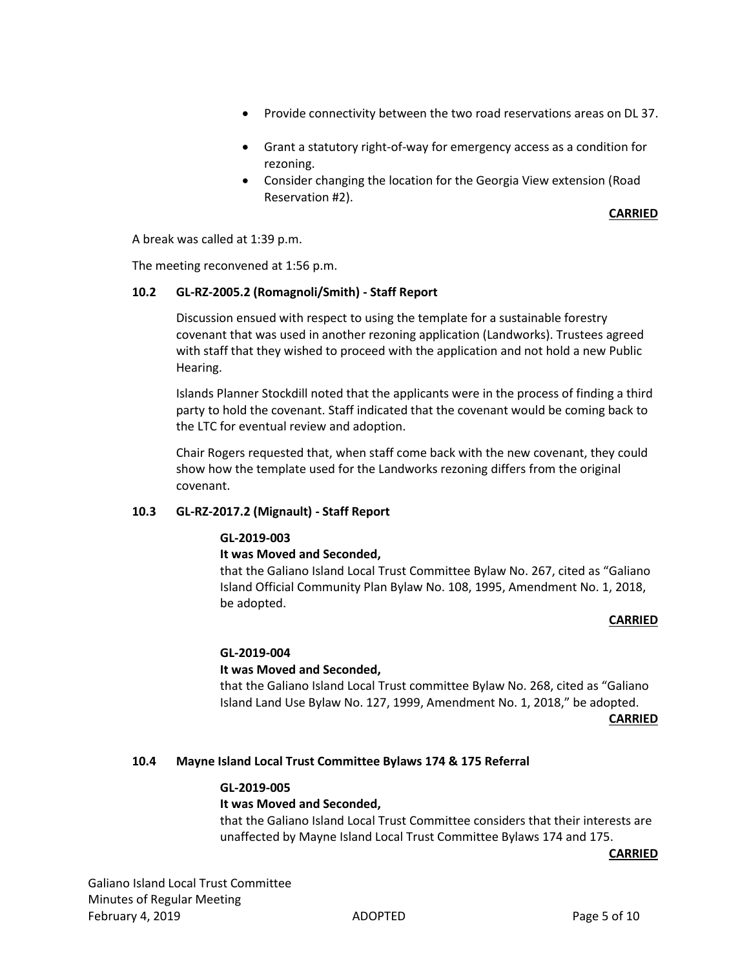- Provide connectivity between the two road reservations areas on DL 37.
- Grant a statutory right-of-way for emergency access as a condition for rezoning.
- Consider changing the location for the Georgia View extension (Road Reservation #2).

#### **CARRIED**

A break was called at 1:39 p.m.

The meeting reconvened at 1:56 p.m.

#### **10.2 GL-RZ-2005.2 (Romagnoli/Smith) - Staff Report**

Discussion ensued with respect to using the template for a sustainable forestry covenant that was used in another rezoning application (Landworks). Trustees agreed with staff that they wished to proceed with the application and not hold a new Public Hearing.

Islands Planner Stockdill noted that the applicants were in the process of finding a third party to hold the covenant. Staff indicated that the covenant would be coming back to the LTC for eventual review and adoption.

Chair Rogers requested that, when staff come back with the new covenant, they could show how the template used for the Landworks rezoning differs from the original covenant.

# **10.3 GL-RZ-2017.2 (Mignault) - Staff Report**

# **GL-2019-003**

# **It was Moved and Seconded,**

that the Galiano Island Local Trust Committee Bylaw No. 267, cited as "Galiano Island Official Community Plan Bylaw No. 108, 1995, Amendment No. 1, 2018, be adopted.

#### **CARRIED**

# **GL-2019-004**

# **It was Moved and Seconded,**

that the Galiano Island Local Trust committee Bylaw No. 268, cited as "Galiano Island Land Use Bylaw No. 127, 1999, Amendment No. 1, 2018," be adopted. **CARRIED**

# **10.4 Mayne Island Local Trust Committee Bylaws 174 & 175 Referral**

# **GL-2019-005**

# **It was Moved and Seconded,**

that the Galiano Island Local Trust Committee considers that their interests are unaffected by Mayne Island Local Trust Committee Bylaws 174 and 175.

**CARRIED**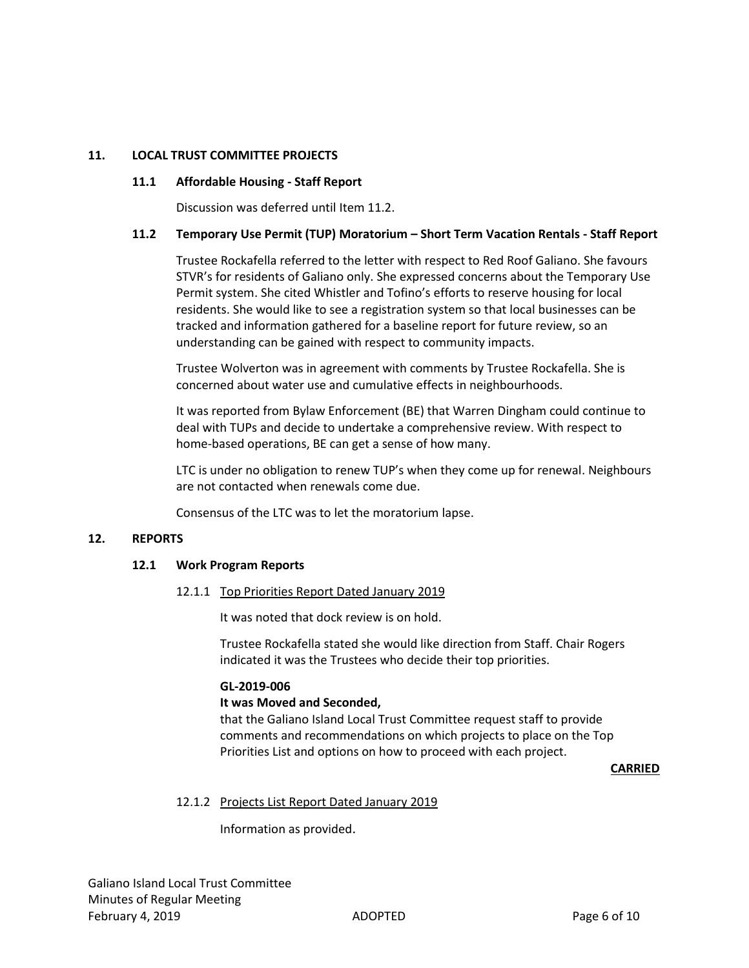# **11. LOCAL TRUST COMMITTEE PROJECTS**

# **11.1 Affordable Housing - Staff Report**

Discussion was deferred until Item 11.2.

#### **11.2 Temporary Use Permit (TUP) Moratorium – Short Term Vacation Rentals - Staff Report**

Trustee Rockafella referred to the letter with respect to Red Roof Galiano. She favours STVR's for residents of Galiano only. She expressed concerns about the Temporary Use Permit system. She cited Whistler and Tofino's efforts to reserve housing for local residents. She would like to see a registration system so that local businesses can be tracked and information gathered for a baseline report for future review, so an understanding can be gained with respect to community impacts.

Trustee Wolverton was in agreement with comments by Trustee Rockafella. She is concerned about water use and cumulative effects in neighbourhoods.

It was reported from Bylaw Enforcement (BE) that Warren Dingham could continue to deal with TUPs and decide to undertake a comprehensive review. With respect to home-based operations, BE can get a sense of how many.

LTC is under no obligation to renew TUP's when they come up for renewal. Neighbours are not contacted when renewals come due.

Consensus of the LTC was to let the moratorium lapse.

#### **12. REPORTS**

#### **12.1 Work Program Reports**

12.1.1 Top Priorities Report Dated January 2019

It was noted that dock review is on hold.

Trustee Rockafella stated she would like direction from Staff. Chair Rogers indicated it was the Trustees who decide their top priorities.

#### **GL-2019-006**

#### **It was Moved and Seconded,**

that the Galiano Island Local Trust Committee request staff to provide comments and recommendations on which projects to place on the Top Priorities List and options on how to proceed with each project.

#### **CARRIED**

# 12.1.2 Projects List Report Dated January 2019

Information as provided.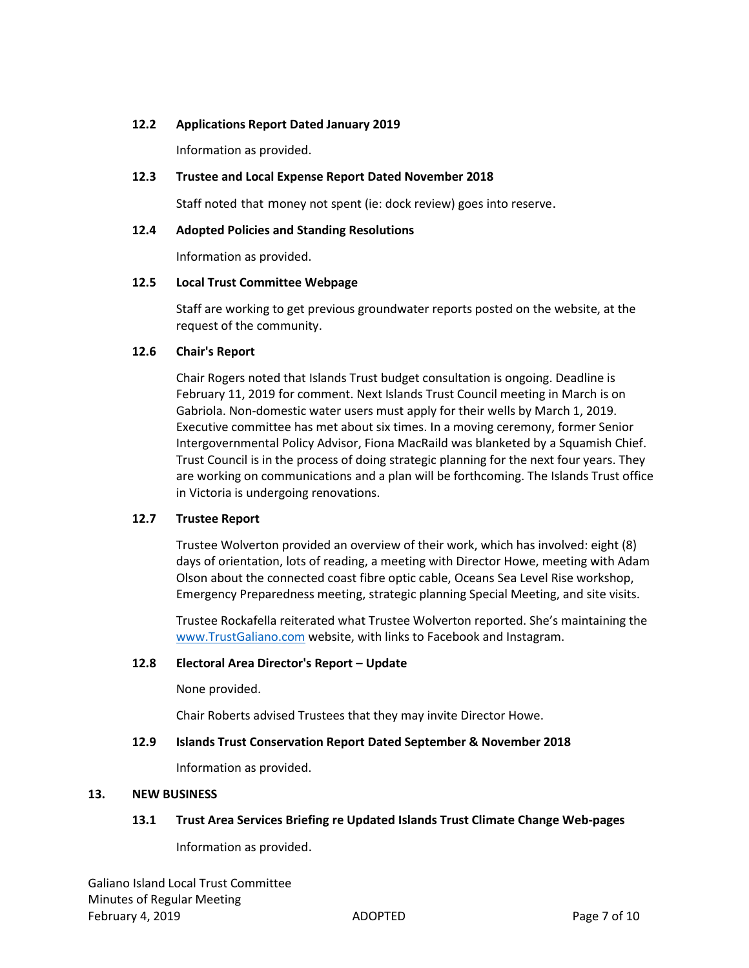# **12.2 Applications Report Dated January 2019**

Information as provided.

# **12.3 Trustee and Local Expense Report Dated November 2018**

Staff noted that money not spent (ie: dock review) goes into reserve.

# **12.4 Adopted Policies and Standing Resolutions**

Information as provided.

# **12.5 Local Trust Committee Webpage**

Staff are working to get previous groundwater reports posted on the website, at the request of the community.

# **12.6 Chair's Report**

Chair Rogers noted that Islands Trust budget consultation is ongoing. Deadline is February 11, 2019 for comment. Next Islands Trust Council meeting in March is on Gabriola. Non-domestic water users must apply for their wells by March 1, 2019. Executive committee has met about six times. In a moving ceremony, former Senior Intergovernmental Policy Advisor, Fiona MacRaild was blanketed by a Squamish Chief. Trust Council is in the process of doing strategic planning for the next four years. They are working on communications and a plan will be forthcoming. The Islands Trust office in Victoria is undergoing renovations.

# **12.7 Trustee Report**

Trustee Wolverton provided an overview of their work, which has involved: eight (8) days of orientation, lots of reading, a meeting with Director Howe, meeting with Adam Olson about the connected coast fibre optic cable, Oceans Sea Level Rise workshop, Emergency Preparedness meeting, strategic planning Special Meeting, and site visits.

Trustee Rockafella reiterated what Trustee Wolverton reported. She's maintaining the [www.TrustGaliano.com](http://www.trustgaliano.com/) website, with links to Facebook and Instagram.

# **12.8 Electoral Area Director's Report – Update**

None provided.

Chair Roberts advised Trustees that they may invite Director Howe.

# **12.9 Islands Trust Conservation Report Dated September & November 2018**

Information as provided.

# **13. NEW BUSINESS**

# **13.1 Trust Area Services Briefing re Updated Islands Trust Climate Change Web-pages**

Information as provided.

Galiano Island Local Trust Committee Minutes of Regular Meeting February 4, 2019 **ADOPTED** ADOPTED **Page 7 of 10**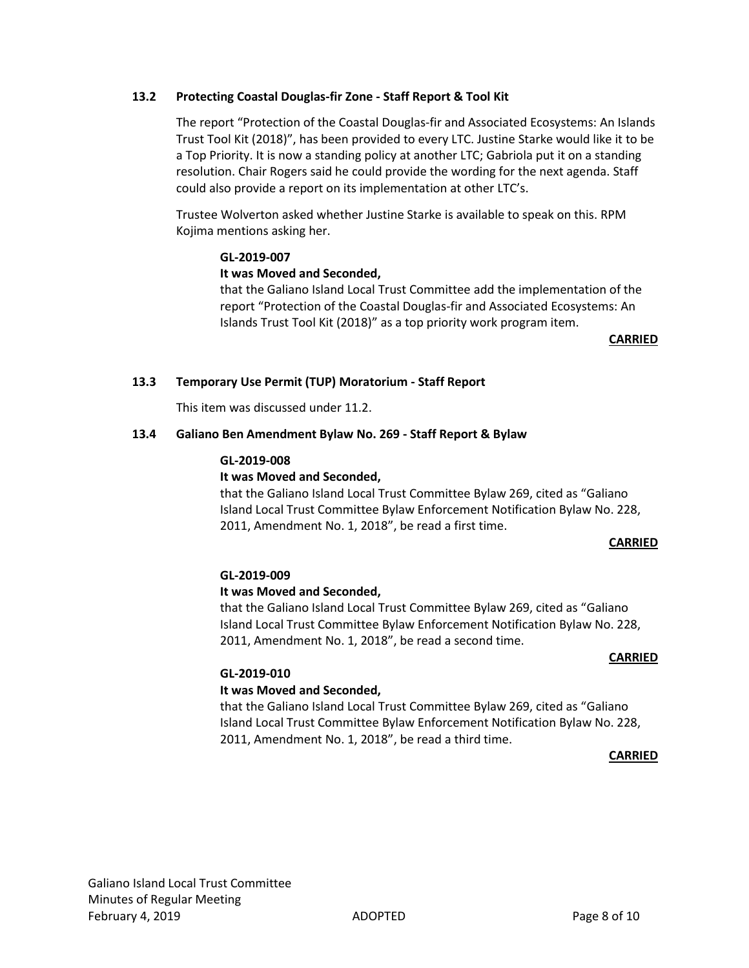# **13.2 Protecting Coastal Douglas-fir Zone - Staff Report & Tool Kit**

The report "Protection of the Coastal Douglas-fir and Associated Ecosystems: An Islands Trust Tool Kit (2018)", has been provided to every LTC. Justine Starke would like it to be a Top Priority. It is now a standing policy at another LTC; Gabriola put it on a standing resolution. Chair Rogers said he could provide the wording for the next agenda. Staff could also provide a report on its implementation at other LTC's.

Trustee Wolverton asked whether Justine Starke is available to speak on this. RPM Kojima mentions asking her.

#### **GL-2019-007**

# **It was Moved and Seconded,**

that the Galiano Island Local Trust Committee add the implementation of the report "Protection of the Coastal Douglas-fir and Associated Ecosystems: An Islands Trust Tool Kit (2018)" as a top priority work program item.

**CARRIED**

#### **13.3 Temporary Use Permit (TUP) Moratorium - Staff Report**

This item was discussed under 11.2.

# **13.4 Galiano Ben Amendment Bylaw No. 269 - Staff Report & Bylaw**

#### **GL-2019-008**

# **It was Moved and Seconded,**

that the Galiano Island Local Trust Committee Bylaw 269, cited as "Galiano Island Local Trust Committee Bylaw Enforcement Notification Bylaw No. 228, 2011, Amendment No. 1, 2018", be read a first time.

#### **CARRIED**

# **GL-2019-009**

# **It was Moved and Seconded,**

that the Galiano Island Local Trust Committee Bylaw 269, cited as "Galiano Island Local Trust Committee Bylaw Enforcement Notification Bylaw No. 228, 2011, Amendment No. 1, 2018", be read a second time.

#### **CARRIED**

# **GL-2019-010**

# **It was Moved and Seconded,**

that the Galiano Island Local Trust Committee Bylaw 269, cited as "Galiano Island Local Trust Committee Bylaw Enforcement Notification Bylaw No. 228, 2011, Amendment No. 1, 2018", be read a third time.

**CARRIED**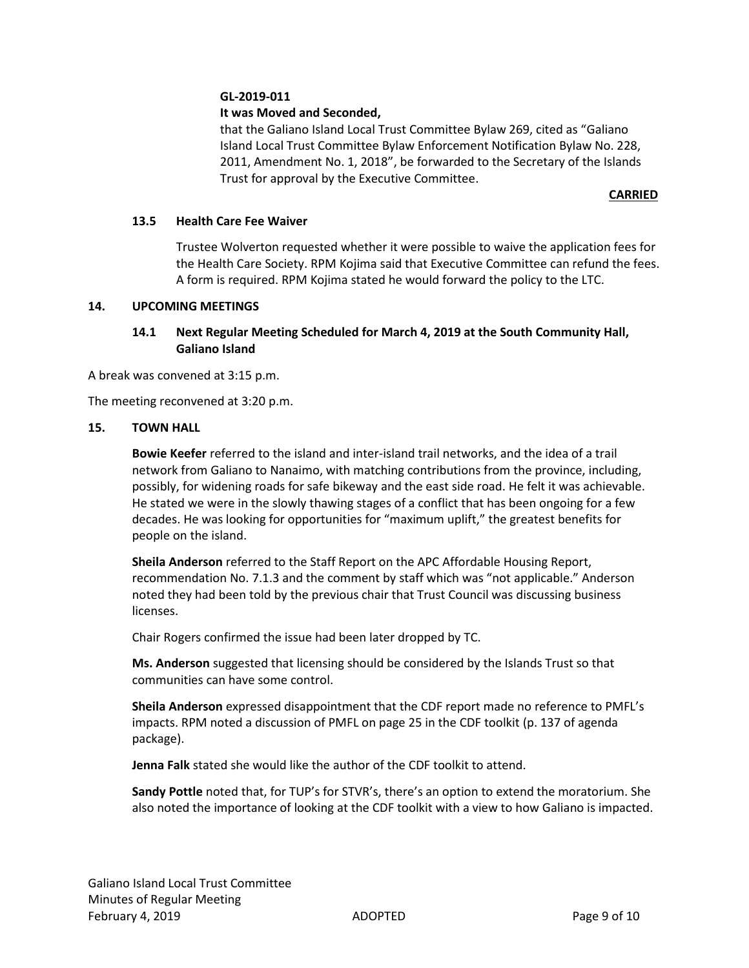# **GL-2019-011**

# **It was Moved and Seconded,**

that the Galiano Island Local Trust Committee Bylaw 269, cited as "Galiano Island Local Trust Committee Bylaw Enforcement Notification Bylaw No. 228, 2011, Amendment No. 1, 2018", be forwarded to the Secretary of the Islands Trust for approval by the Executive Committee.

#### **CARRIED**

# **13.5 Health Care Fee Waiver**

Trustee Wolverton requested whether it were possible to waive the application fees for the Health Care Society. RPM Kojima said that Executive Committee can refund the fees. A form is required. RPM Kojima stated he would forward the policy to the LTC.

#### **14. UPCOMING MEETINGS**

# **14.1 Next Regular Meeting Scheduled for March 4, 2019 at the South Community Hall, Galiano Island**

A break was convened at 3:15 p.m.

The meeting reconvened at 3:20 p.m.

#### **15. TOWN HALL**

**Bowie Keefer** referred to the island and inter-island trail networks, and the idea of a trail network from Galiano to Nanaimo, with matching contributions from the province, including, possibly, for widening roads for safe bikeway and the east side road. He felt it was achievable. He stated we were in the slowly thawing stages of a conflict that has been ongoing for a few decades. He was looking for opportunities for "maximum uplift," the greatest benefits for people on the island.

**Sheila Anderson** referred to the Staff Report on the APC Affordable Housing Report, recommendation No. 7.1.3 and the comment by staff which was "not applicable." Anderson noted they had been told by the previous chair that Trust Council was discussing business licenses.

Chair Rogers confirmed the issue had been later dropped by TC.

**Ms. Anderson** suggested that licensing should be considered by the Islands Trust so that communities can have some control.

**Sheila Anderson** expressed disappointment that the CDF report made no reference to PMFL's impacts. RPM noted a discussion of PMFL on page 25 in the CDF toolkit (p. 137 of agenda package).

**Jenna Falk** stated she would like the author of the CDF toolkit to attend.

**Sandy Pottle** noted that, for TUP's for STVR's, there's an option to extend the moratorium. She also noted the importance of looking at the CDF toolkit with a view to how Galiano is impacted.